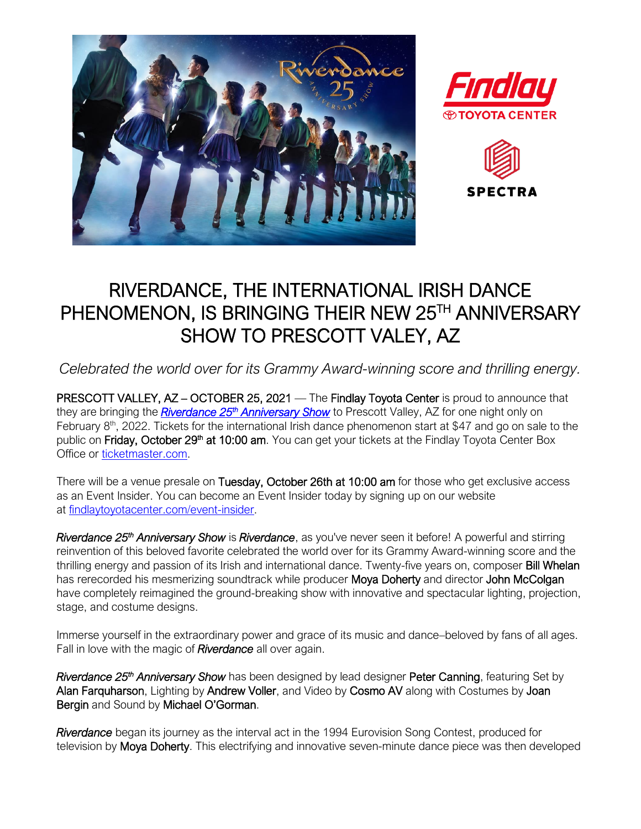





## RIVERDANCE, THE INTERNATIONAL IRISH DANCE PHENOMENON, IS BRINGING THEIR NEW 25TH ANNIVERSARY SHOW TO PRESCOTT VALEY, AZ

*Celebrated the world over for its Grammy Award-winning score and thrilling energy.*

PRESCOTT VALLEY, AZ – OCTOBER 25, 2021 — The Findlay Toyota Center is proud to announce that they are bringing the *Riverdance 25<sup>th</sup> [Anniversary Show](http://www.findlaytoyotacenter.com/events/riverdance-25th-anniversary-show)* to Prescott Valley, AZ for one night only on February 8<sup>th</sup>, 2022. Tickets for the international Irish dance phenomenon start at \$47 and go on sale to the public on Friday, October 29<sup>th</sup> at 10:00 am. You can get your tickets at the Findlay Toyota Center Box Office or [ticketmaster.com.](https://www.ticketmaster.com/findlay-toyota-center-tickets-prescott-valley/venue/205170)

There will be a venue presale on Tuesday, October 26th at 10:00 am for those who get exclusive access as an Event Insider. You can become an Event Insider today by signing up on our website at [findlaytoyotacenter.com/event-insider.](http://www.findlaytoyotacenter.com/event-insider)

*Riverdance 25th Anniversary Show* is *Riverdance*, as you've never seen it before! A powerful and stirring reinvention of this beloved favorite celebrated the world over for its Grammy Award-winning score and the thrilling energy and passion of its Irish and international dance. Twenty-five years on, composer Bill Whelan has rerecorded his mesmerizing soundtrack while producer Moya Doherty and director John McColgan have completely reimagined the ground-breaking show with innovative and spectacular lighting, projection, stage, and costume designs.

Immerse yourself in the extraordinary power and grace of its music and dance–beloved by fans of all ages. Fall in love with the magic of *Riverdance* all over again.

Riverdance 25<sup>th</sup> Anniversary Show has been designed by lead designer Peter Canning, featuring Set by Alan Farquharson, Lighting by Andrew Voller, and Video by Cosmo AV along with Costumes by Joan Bergin and Sound by Michael O'Gorman.

*Riverdance* began its journey as the interval act in the 1994 Eurovision Song Contest, produced for television by Moya Doherty. This electrifying and innovative seven-minute dance piece was then developed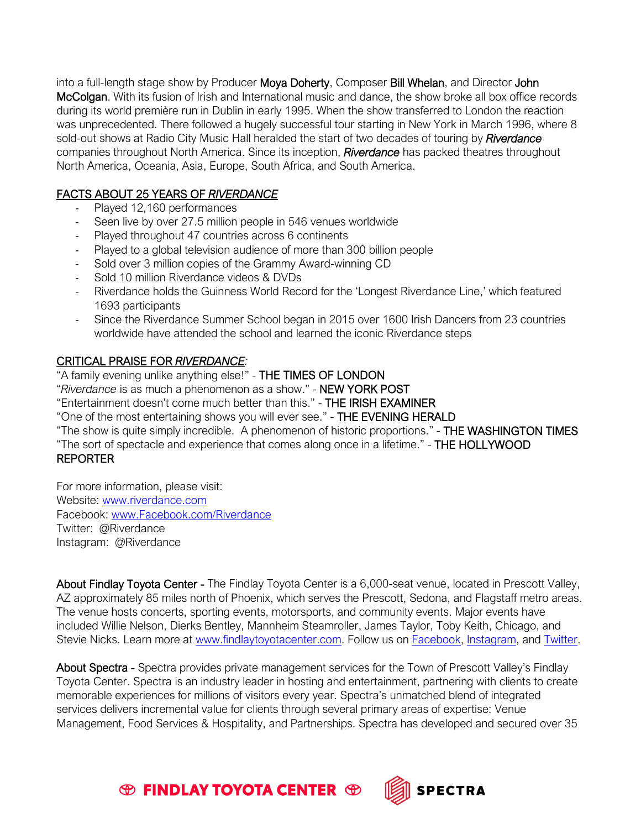into a full-length stage show by Producer Moya Doherty, Composer Bill Whelan, and Director John McColgan. With its fusion of Irish and International music and dance, the show broke all box office records during its world première run in Dublin in early 1995. When the show transferred to London the reaction was unprecedented. There followed a hugely successful tour starting in New York in March 1996, where 8 sold-out shows at Radio City Music Hall heralded the start of two decades of touring by *Riverdance*  companies throughout North America. Since its inception, *Riverdance* has packed theatres throughout North America, Oceania, Asia, Europe, South Africa, and South America.

## FACTS ABOUT 25 YEARS OF *RIVERDANCE*

- Played 12,160 performances
- Seen live by over 27.5 million people in 546 venues worldwide
- Played throughout 47 countries across 6 continents
- Played to a global television audience of more than 300 billion people
- Sold over 3 million copies of the Grammy Award-winning CD
- Sold 10 million Riverdance videos & DVDs
- Riverdance holds the Guinness World Record for the 'Longest Riverdance Line,' which featured 1693 participants
- Since the Riverdance Summer School began in 2015 over 1600 Irish Dancers from 23 countries worldwide have attended the school and learned the iconic Riverdance steps

## CRITICAL PRAISE FOR *RIVERDANCE:*

"A family evening unlike anything else!" - THE TIMES OF LONDON "*Riverdance* is as much a phenomenon as a show." - NEW YORK POST "Entertainment doesn't come much better than this." - THE IRISH EXAMINER "One of the most entertaining shows you will ever see." - THE EVENING HERALD "The show is quite simply incredible. A phenomenon of historic proportions." - THE WASHINGTON TIMES "The sort of spectacle and experience that comes along once in a lifetime." - THE HOLLYWOOD REPORTER

For more information, please visit: Website: [www.riverdance.com](http://www.riverdance.com/)  Facebook: [www.Facebook.com/Riverdance](http://www.facebook.com/Riverdance)  Twitter: @Riverdance Instagram: @Riverdance

About Findlay Toyota Center - The Findlay Toyota Center is a 6,000-seat venue, located in Prescott Valley, AZ approximately 85 miles north of Phoenix, which serves the Prescott, Sedona, and Flagstaff metro areas. The venue hosts concerts, sporting events, motorsports, and community events. Major events have included Willie Nelson, Dierks Bentley, Mannheim Steamroller, James Taylor, Toby Keith, Chicago, and Stevie Nicks. Learn more at [www.findlaytoyotacenter.com.](http://www.findlaytoyotacenter.com/) Follow us on [Facebook,](https://www.facebook.com/FindlayToyotaCenter/) [Instagram,](https://www.instagram.com/findlaytoyotacenter/) and [Twitter.](https://twitter.com/FindlayCenter)

About Spectra - Spectra provides private management services for the Town of Prescott Valley's Findlay Toyota Center. Spectra is an industry leader in hosting and entertainment, partnering with clients to create memorable experiences for millions of visitors every year. Spectra's unmatched blend of integrated services delivers incremental value for clients through several primary areas of expertise: Venue Management, Food Services & Hospitality, and Partnerships. Spectra has developed and secured over 35